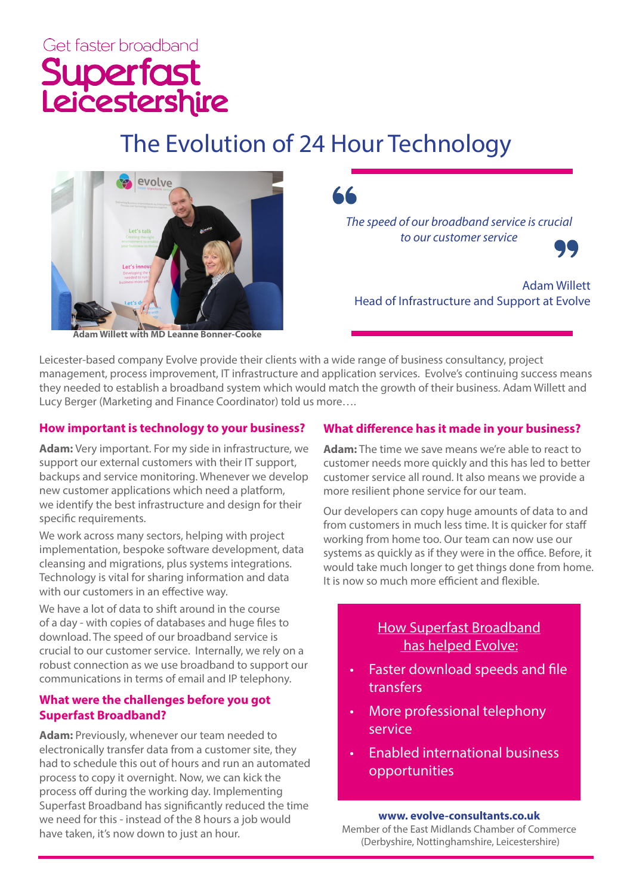# Get faster broadband Superfast<br>Leicestershire

## The Evolution of 24 Hour Technology



*The speed of our broadband service is crucial to our customer service*



Adam Willett Head of Infrastructure and Support at Evolve

Leicester-based company Evolve provide their clients with a wide range of business consultancy, project management, process improvement, IT infrastructure and application services. Evolve's continuing success means they needed to establish a broadband system which would match the growth of their business. Adam Willett and

### **How important is technology to your business?**

Lucy Berger (Marketing and Finance Coordinator) told us more….

**Adam:** Very important. For my side in infrastructure, we support our external customers with their IT support, backups and service monitoring. Whenever we develop new customer applications which need a platform, we identify the best infrastructure and design for their specific requirements.

We work across many sectors, helping with project implementation, bespoke software development, data cleansing and migrations, plus systems integrations. Technology is vital for sharing information and data with our customers in an effective way.

We have a lot of data to shift around in the course of a day - with copies of databases and huge files to download. The speed of our broadband service is crucial to our customer service. Internally, we rely on a robust connection as we use broadband to support our communications in terms of email and IP telephony.

#### **What were the challenges before you got Superfast Broadband?**

**Adam:** Previously, whenever our team needed to electronically transfer data from a customer site, they had to schedule this out of hours and run an automated process to copy it overnight. Now, we can kick the process off during the working day. Implementing Superfast Broadband has significantly reduced the time we need for this - instead of the 8 hours a job would have taken, it's now down to just an hour.

#### **What difference has it made in your business?**

**Adam:** The time we save means we're able to react to customer needs more quickly and this has led to better customer service all round. It also means we provide a more resilient phone service for our team.

Our developers can copy huge amounts of data to and from customers in much less time. It is quicker for staff working from home too. Our team can now use our systems as quickly as if they were in the office. Before, it would take much longer to get things done from home. It is now so much more efficient and flexible.

#### How Superfast Broadband has helped Evolve:

- Faster download speeds and file transfers
- More professional telephony service
- Enabled international business opportunities

#### **www. evolve-consultants.co.uk**

Member of the East Midlands Chamber of Commerce (Derbyshire, Nottinghamshire, Leicestershire)